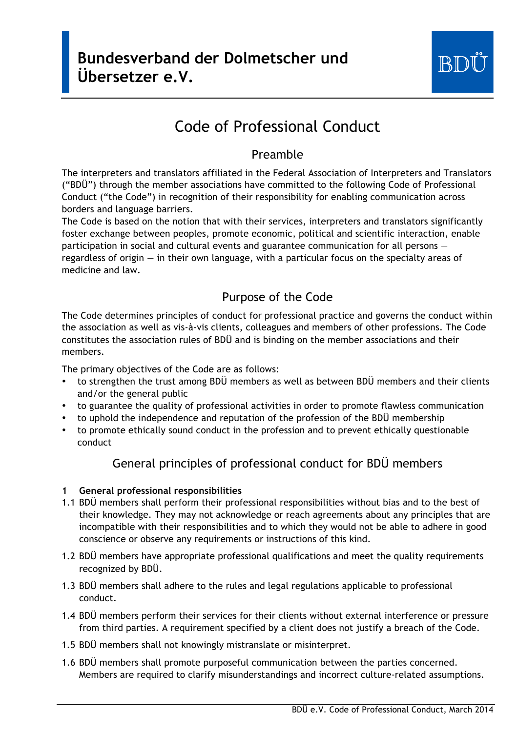

# Code of Professional Conduct

## Preamble

The interpreters and translators affiliated in the Federal Association of Interpreters and Translators ("BDÜ") through the member associations have committed to the following Code of Professional Conduct ("the Code") in recognition of their responsibility for enabling communication across borders and language barriers.

The Code is based on the notion that with their services, interpreters and translators significantly foster exchange between peoples, promote economic, political and scientific interaction, enable participation in social and cultural events and guarantee communication for all persons regardless of origin — in their own language, with a particular focus on the specialty areas of medicine and law.

# Purpose of the Code

The Code determines principles of conduct for professional practice and governs the conduct within the association as well as vis-à-vis clients, colleagues and members of other professions. The Code constitutes the association rules of BDÜ and is binding on the member associations and their members.

The primary objectives of the Code are as follows:

- to strengthen the trust among BDÜ members as well as between BDÜ members and their clients and/or the general public
- to guarantee the quality of professional activities in order to promote flawless communication
- to uphold the independence and reputation of the profession of the BDÜ membership
- to promote ethically sound conduct in the profession and to prevent ethically questionable conduct

# General principles of professional conduct for BDÜ members

## **1 General professional responsibilities**

- 1.1 BDÜ members shall perform their professional responsibilities without bias and to the best of their knowledge. They may not acknowledge or reach agreements about any principles that are incompatible with their responsibilities and to which they would not be able to adhere in good conscience or observe any requirements or instructions of this kind.
- 1.2 BDÜ members have appropriate professional qualifications and meet the quality requirements recognized by BDÜ.
- 1.3 BDÜ members shall adhere to the rules and legal regulations applicable to professional conduct.
- 1.4 BDÜ members perform their services for their clients without external interference or pressure from third parties. A requirement specified by a client does not justify a breach of the Code.
- 1.5 BDÜ members shall not knowingly mistranslate or misinterpret.
- 1.6 BDÜ members shall promote purposeful communication between the parties concerned. Members are required to clarify misunderstandings and incorrect culture-related assumptions.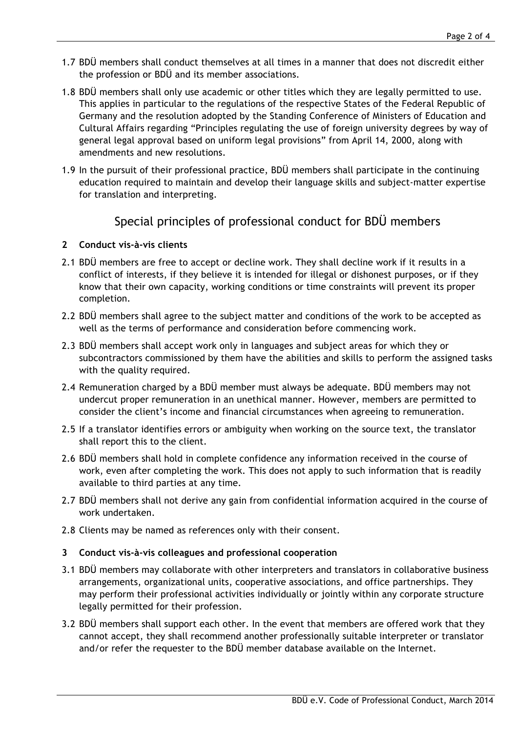- 1.7 BDÜ members shall conduct themselves at all times in a manner that does not discredit either the profession or BDÜ and its member associations.
- 1.8 BDÜ members shall only use academic or other titles which they are legally permitted to use. This applies in particular to the regulations of the respective States of the Federal Republic of Germany and the resolution adopted by the Standing Conference of Ministers of Education and Cultural Affairs regarding "Principles regulating the use of foreign university degrees by way of general legal approval based on uniform legal provisions" from April 14, 2000, along with amendments and new resolutions.
- 1.9 In the pursuit of their professional practice, BDÜ members shall participate in the continuing education required to maintain and develop their language skills and subject-matter expertise for translation and interpreting.

## Special principles of professional conduct for BDÜ members

## **2 Conduct vis-à-vis clients**

- 2.1 BDÜ members are free to accept or decline work. They shall decline work if it results in a conflict of interests, if they believe it is intended for illegal or dishonest purposes, or if they know that their own capacity, working conditions or time constraints will prevent its proper completion.
- 2.2 BDÜ members shall agree to the subject matter and conditions of the work to be accepted as well as the terms of performance and consideration before commencing work.
- 2.3 BDÜ members shall accept work only in languages and subject areas for which they or subcontractors commissioned by them have the abilities and skills to perform the assigned tasks with the quality required.
- 2.4 Remuneration charged by a BDÜ member must always be adequate. BDÜ members may not undercut proper remuneration in an unethical manner. However, members are permitted to consider the client's income and financial circumstances when agreeing to remuneration.
- 2.5 If a translator identifies errors or ambiguity when working on the source text, the translator shall report this to the client.
- 2.6 BDÜ members shall hold in complete confidence any information received in the course of work, even after completing the work. This does not apply to such information that is readily available to third parties at any time.
- 2.7 BDÜ members shall not derive any gain from confidential information acquired in the course of work undertaken.
- 2.8 Clients may be named as references only with their consent.

### **3 Conduct vis-à-vis colleagues and professional cooperation**

- 3.1 BDÜ members may collaborate with other interpreters and translators in collaborative business arrangements, organizational units, cooperative associations, and office partnerships. They may perform their professional activities individually or jointly within any corporate structure legally permitted for their profession.
- 3.2 BDÜ members shall support each other. In the event that members are offered work that they cannot accept, they shall recommend another professionally suitable interpreter or translator and/or refer the requester to the BDÜ member database available on the Internet.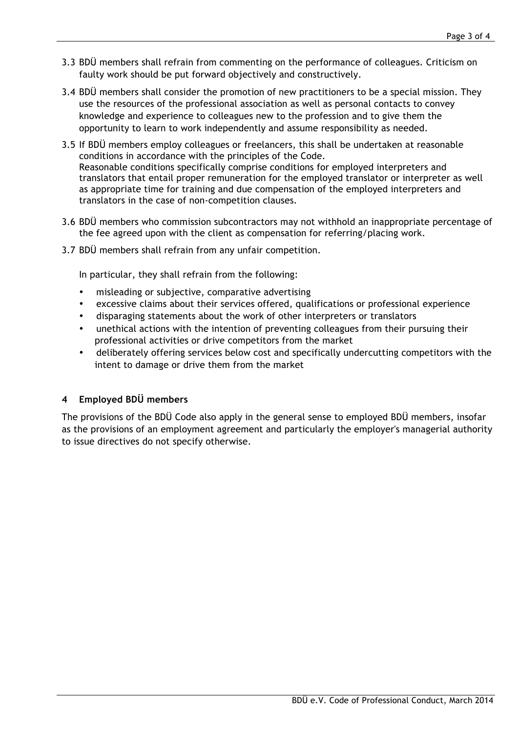- 3.3 BDÜ members shall refrain from commenting on the performance of colleagues. Criticism on faulty work should be put forward objectively and constructively.
- 3.4 BDÜ members shall consider the promotion of new practitioners to be a special mission. They use the resources of the professional association as well as personal contacts to convey knowledge and experience to colleagues new to the profession and to give them the opportunity to learn to work independently and assume responsibility as needed.
- 3.5 If BDÜ members employ colleagues or freelancers, this shall be undertaken at reasonable conditions in accordance with the principles of the Code. Reasonable conditions specifically comprise conditions for employed interpreters and translators that entail proper remuneration for the employed translator or interpreter as well as appropriate time for training and due compensation of the employed interpreters and translators in the case of non-competition clauses.
- 3.6 BDÜ members who commission subcontractors may not withhold an inappropriate percentage of the fee agreed upon with the client as compensation for referring/placing work.
- 3.7 BDÜ members shall refrain from any unfair competition.

In particular, they shall refrain from the following:

- misleading or subjective, comparative advertising
- excessive claims about their services offered, qualifications or professional experience
- disparaging statements about the work of other interpreters or translators
- unethical actions with the intention of preventing colleagues from their pursuing their professional activities or drive competitors from the market
- deliberately offering services below cost and specifically undercutting competitors with the intent to damage or drive them from the market

### **4 Employed BDÜ members**

The provisions of the BDÜ Code also apply in the general sense to employed BDÜ members, insofar as the provisions of an employment agreement and particularly the employer's managerial authority to issue directives do not specify otherwise.